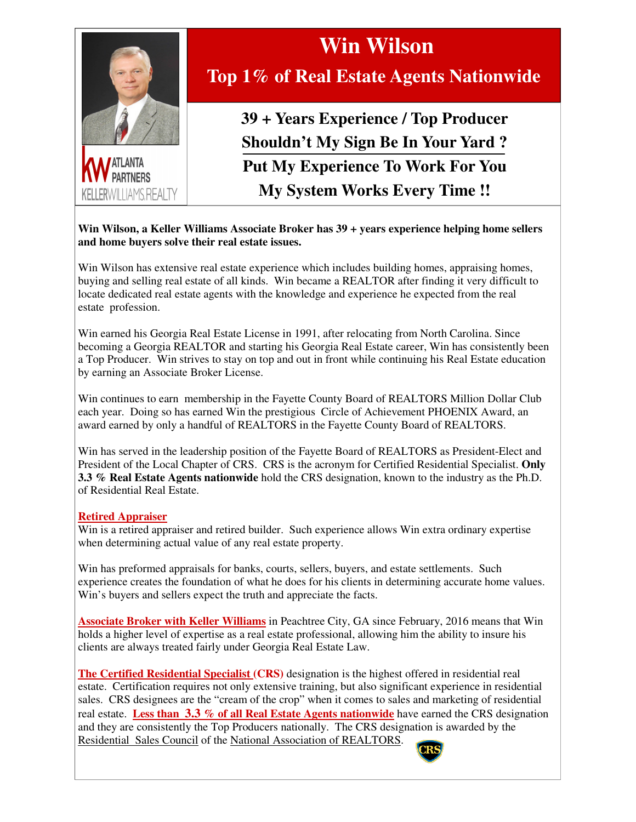

KELLERWII HAMS REALTY

## **Top 1% of Real Estate Agents Nationwide**

 **Win Wilson** 

**39 + Years Experience / Top Producer Shouldn't My Sign Be In Your Yard ? Put My Experience To Work For You My System Works Every Time !!**

**Win Wilson, a Keller Williams Associate Broker has 39 + years experience helping home sellers and home buyers solve their real estate issues.** 

Win Wilson has extensive real estate experience which includes building homes, appraising homes, buying and selling real estate of all kinds. Win became a REALTOR after finding it very difficult to locate dedicated real estate agents with the knowledge and experience he expected from the real estate profession.

Win earned his Georgia Real Estate License in 1991, after relocating from North Carolina. Since becoming a Georgia REALTOR and starting his Georgia Real Estate career, Win has consistently been a Top Producer. Win strives to stay on top and out in front while continuing his Real Estate education by earning an Associate Broker License.

Win continues to earn membership in the Fayette County Board of REALTORS Million Dollar Club each year. Doing so has earned Win the prestigious Circle of Achievement PHOENIX Award, an award earned by only a handful of REALTORS in the Fayette County Board of REALTORS.

Win has served in the leadership position of the Fayette Board of REALTORS as President-Elect and President of the Local Chapter of CRS. CRS is the acronym for Certified Residential Specialist. **Only 3.3 % Real Estate Agents nationwide** hold the CRS designation, known to the industry as the Ph.D. of Residential Real Estate.

## **Retired Appraiser**

Win is a retired appraiser and retired builder. Such experience allows Win extra ordinary expertise when determining actual value of any real estate property.

Win has preformed appraisals for banks, courts, sellers, buyers, and estate settlements. Such experience creates the foundation of what he does for his clients in determining accurate home values. Win's buyers and sellers expect the truth and appreciate the facts.

**Associate Broker with Keller Williams** in Peachtree City, GA since February, 2016 means that Win holds a higher level of expertise as a real estate professional, allowing him the ability to insure his clients are always treated fairly under Georgia Real Estate Law.

**The Certified Residential Specialist (CRS)** designation is the highest offered in residential real estate. Certification requires not only extensive training, but also significant experience in residential sales. CRS designees are the "cream of the crop" when it comes to sales and marketing of residential real estate. **Less than 3.3 % of all Real Estate Agents nationwide** have earned the CRS designation and they are consistently the Top Producers nationally. The CRS designation is awarded by the Residential Sales Council of the National Association of REALTORS.